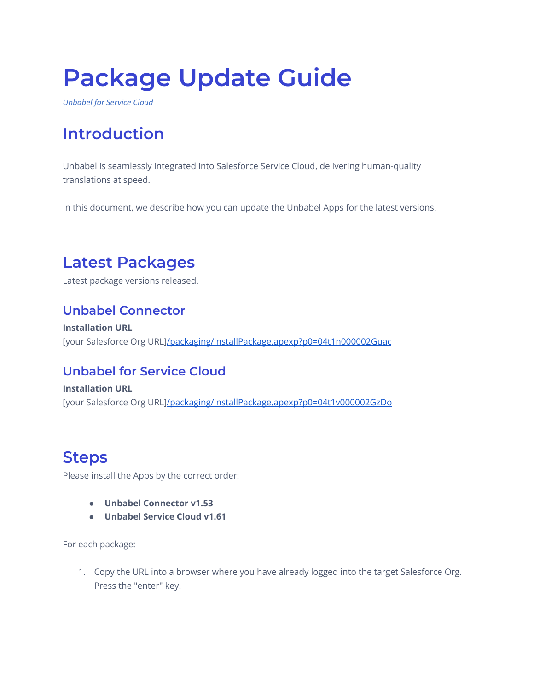# **Package Update Guide**

*Unbabel for Service Cloud*

# **Introduction**

Unbabel is seamlessly integrated into Salesforce Service Cloud, delivering human-quality translations at speed.

In this document, we describe how you can update the Unbabel Apps for the latest versions.

# **Latest Packages**

Latest package versions released.

### **Unbabel Connector**

**Installation URL** [your Salesforce Org URL[\]/packaging/installPackage.apexp?p0=04t1n000002Guac](https://login.salesforce.com/packaging/installPackage.apexp?p0=04t1n000002Guac)

### **Unbabel for Service Cloud**

**Installation URL** [your Salesforce Org URL[\]/packaging/installPackage.apexp?p0=04t1v000002GzDo](https://login.salesforce.com/packaging/installPackage.apexp?p0=04t1v000002GzDo)

## **Steps**

Please install the Apps by the correct order:

- **● Unbabel Connector v1.53**
- **● Unbabel Service Cloud v1.61**

For each package:

1. Copy the URL into a browser where you have already logged into the target Salesforce Org. Press the "enter" key.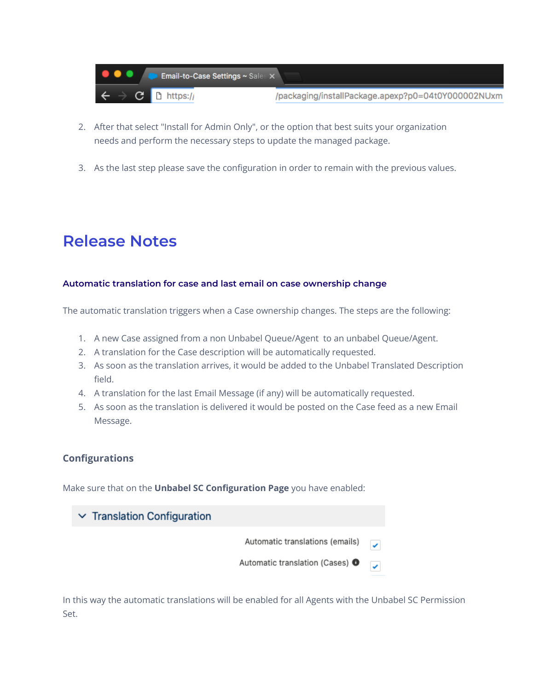

- 2. After that select "Install for Admin Only", or the option that best suits your organization needs and perform the necessary steps to update the managed package.
- 3. As the last step please save the configuration in order to remain with the previous values.

# **Release Notes**

#### **Automatic translation for case and last email on case ownership change**

The automatic translation triggers when a Case ownership changes. The steps are the following:

- 1. A new Case assigned from a non Unbabel Queue/Agent to an unbabel Queue/Agent.
- 2. A translation for the Case description will be automatically requested.
- 3. As soon as the translation arrives, it would be added to the Unbabel Translated Description field.
- 4. A translation for the last Email Message (if any) will be automatically requested.
- 5. As soon as the translation is delivered it would be posted on the Case feed as a new Email Message.

#### **Configurations**

Make sure that on the **Unbabel SC Configuration Page** you have enabled:

| $\vee$ Translation Configuration |                                            |  |
|----------------------------------|--------------------------------------------|--|
|                                  | Automatic translations (emails)            |  |
|                                  | Automatic translation (Cases) <sup>O</sup> |  |

In this way the automatic translations will be enabled for all Agents with the Unbabel SC Permission Set.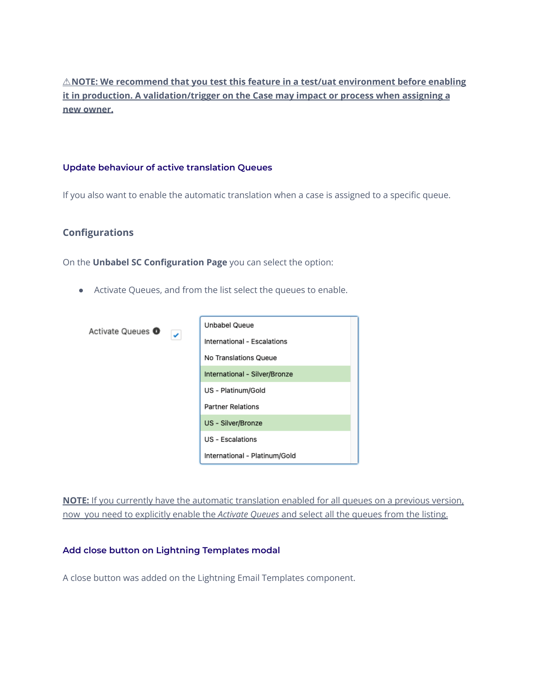### ⚠**NOTE: We recommend that you test this feature in a test/uat environment before enabling it in production. A validation/trigger on the Case may impact or process when assigning a new owner.**

#### **Update behaviour of active translation Queues**

If you also want to enable the automatic translation when a case is assigned to a specific queue.

#### **Configurations**

On the **Unbabel SC Configuration Page** you can select the option:

● Activate Queues, and from the list select the queues to enable.

| Activate Queues <sup>O</sup><br>×, | <b>Unbabel Queue</b>          |  |
|------------------------------------|-------------------------------|--|
|                                    | International - Escalations   |  |
|                                    | No Translations Queue         |  |
|                                    | International - Silver/Bronze |  |
|                                    | US - Platinum/Gold            |  |
|                                    | <b>Partner Relations</b>      |  |
|                                    | US - Silver/Bronze            |  |
|                                    | <b>US</b> - Escalations       |  |
|                                    | International - Platinum/Gold |  |

**NOTE:** If you currently have the automatic translation enabled for all queues on a previous version, now you need to explicitly enable the *Activate Queues* and select all the queues from the listing.

#### **Add close button on Lightning Templates modal**

A close button was added on the Lightning Email Templates component.